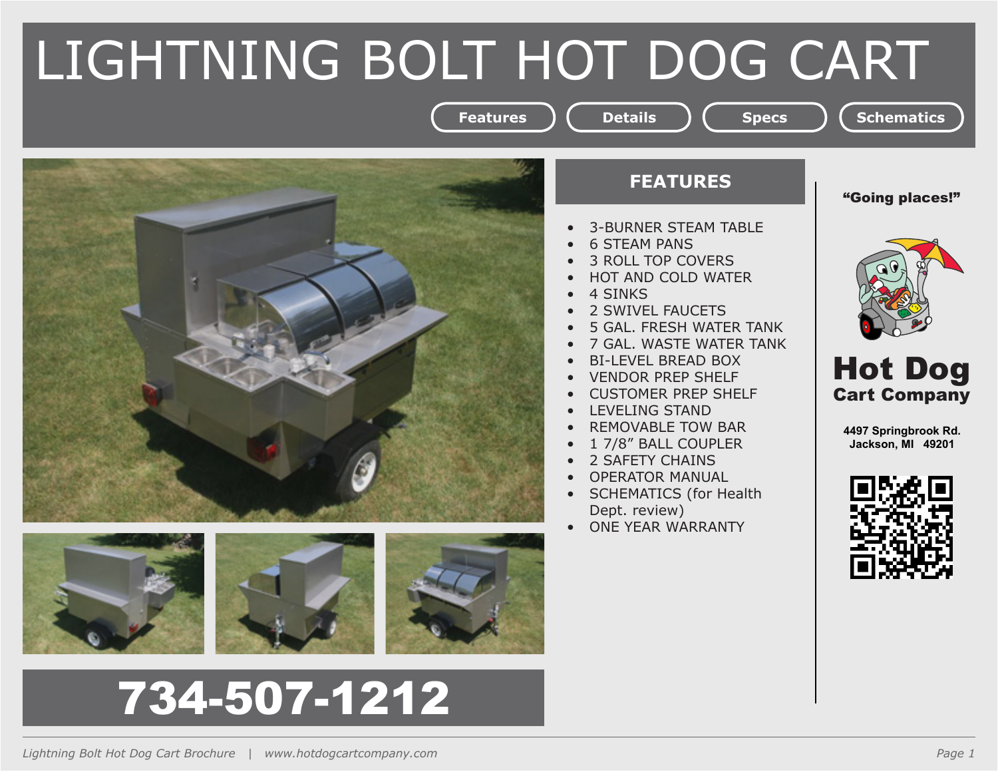# LIGHTNING BOLT HOT DOG CART



# 734-507-1212



**Features** ) ( Details ) ( Specs ) ( Schematics

- **3-BURNER STEAM TABLE**
- 6 STEAM PANS
- 3 ROLL TOP COVERS
- **HOT AND COLD WATER**
- 4 SINKS
- 2 SWIVEL FAUCETS
- 5 GAL. FRESH WATER TANK
- 7 GAL. WASTE WATER TANK
- **BI-LEVEL BREAD BOX**
- **VENDOR PREP SHELF**
- **CUSTOMER PREP SHELF**
- LEVELING STAND
- **REMOVABLE TOW BAR**
- 1 7/8" BALL COUPLER
- 2 SAFETY CHAINS
- **OPERATOR MANUAL**
- **SCHEMATICS (for Health** Dept. review)
- ONE YEAR WARRANTY





Hot Dog Cart Company

**4497 Springbrook Rd. Jackson, MI 49201**

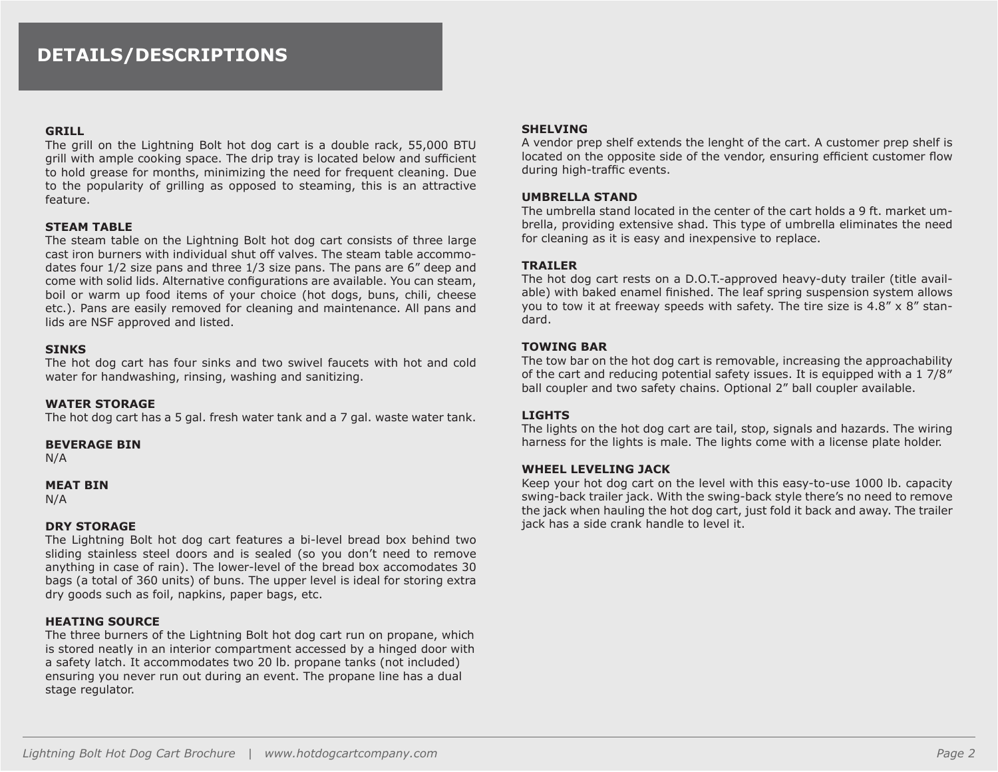### **DETAILS/DESCRIPTIONS**

#### **GRILL**

The grill on the Lightning Bolt hot dog cart is a double rack, 55,000 BTU grill with ample cooking space. The drip tray is located below and sufficient to hold grease for months, minimizing the need for frequent cleaning. Due to the popularity of grilling as opposed to steaming, this is an attractive feature.

#### **STEAM TABLE**

The steam table on the Lightning Bolt hot dog cart consists of three large cast iron burners with individual shut off valves. The steam table accommodates four 1/2 size pans and three 1/3 size pans. The pans are 6" deep and come with solid lids. Alternative configurations are available. You can steam, boil or warm up food items of your choice (hot dogs, buns, chili, cheese etc.). Pans are easily removed for cleaning and maintenance. All pans and lids are NSF approved and listed.

#### **SINKS**

The hot dog cart has four sinks and two swivel faucets with hot and cold water for handwashing, rinsing, washing and sanitizing.

#### **WATER STORAGE**

The hot dog cart has a 5 gal. fresh water tank and a 7 gal. waste water tank.

#### **BEVERAGE BIN**

N/A

#### **MEAT BIN**

N/A

#### **DRY STORAGE**

The Lightning Bolt hot dog cart features a bi-level bread box behind two sliding stainless steel doors and is sealed (so you don't need to remove anything in case of rain). The lower-level of the bread box accomodates 30 bags (a total of 360 units) of buns. The upper level is ideal for storing extra dry goods such as foil, napkins, paper bags, etc.

#### **HEATING SOURCE**

The three burners of the Lightning Bolt hot dog cart run on propane, which is stored neatly in an interior compartment accessed by a hinged door with a safety latch. It accommodates two 20 lb. propane tanks (not included) ensuring you never run out during an event. The propane line has a dual stage regulator.

#### **SHELVING**

A vendor prep shelf extends the lenght of the cart. A customer prep shelf is located on the opposite side of the vendor, ensuring efficient customer flow during high-traffic events.

#### **UMBRELLA STAND**

The umbrella stand located in the center of the cart holds a 9 ft. market umbrella, providing extensive shad. This type of umbrella eliminates the need for cleaning as it is easy and inexpensive to replace.

#### **TRAILER**

The hot dog cart rests on a D.O.T.-approved heavy-duty trailer (title available) with baked enamel finished. The leaf spring suspension system allows you to tow it at freeway speeds with safety. The tire size is  $4.8'' \times 8''$  standard.

#### **TOWING BAR**

The tow bar on the hot dog cart is removable, increasing the approachability of the cart and reducing potential safety issues. It is equipped with a 1 7/8″ ball coupler and two safety chains. Optional 2" ball coupler available.

#### **LIGHTS**

The lights on the hot dog cart are tail, stop, signals and hazards. The wiring harness for the lights is male. The lights come with a license plate holder.

#### **WHEEL LEVELING JACK**

Keep your hot dog cart on the level with this easy-to-use 1000 lb. capacity swing-back trailer jack. With the swing-back style there's no need to remove the jack when hauling the hot dog cart, just fold it back and away. The trailer jack has a side crank handle to level it.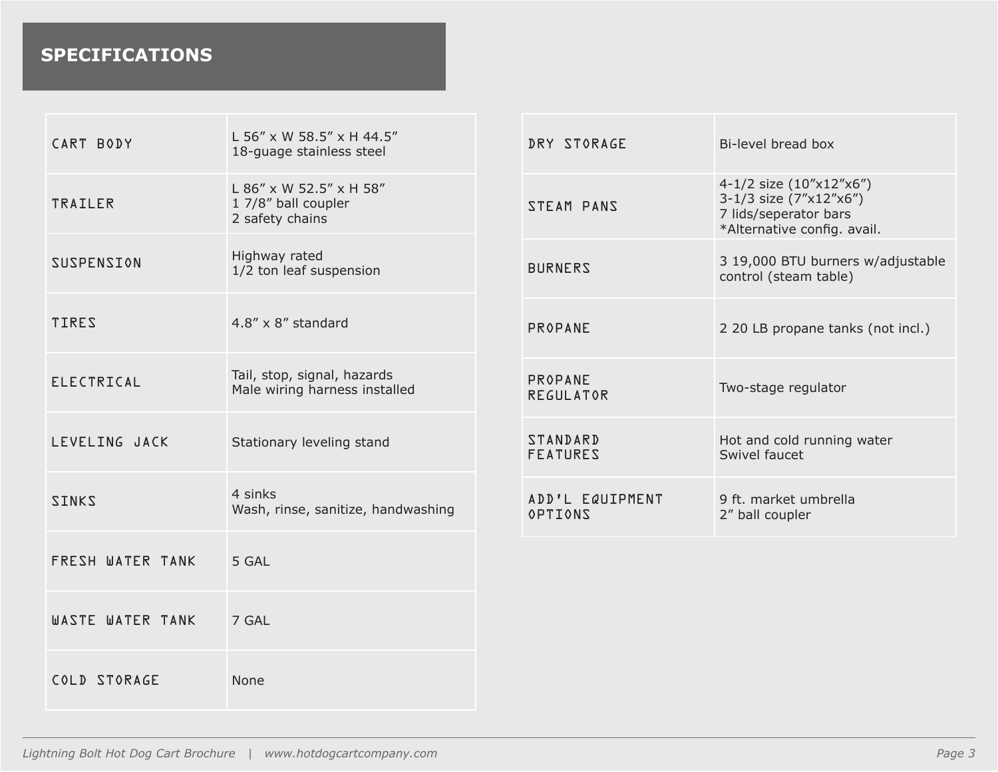## **SPECIFICATIONS**

| CART BODY         | L 56" x W 58.5" x H 44.5"<br>18-guage stainless steel             | DRY STORAGE                        | Bi-level bread box                                                                                        |
|-------------------|-------------------------------------------------------------------|------------------------------------|-----------------------------------------------------------------------------------------------------------|
| <b>TRAILER</b>    | L 86" x W 52.5" x H 58"<br>1 7/8" ball coupler<br>2 safety chains | STEAM PANS                         | 4-1/2 size (10"x12"x6")<br>3-1/3 size (7"x12"x6")<br>7 lids/seperator bars<br>*Alternative config. avail. |
| <b>SUSPENSION</b> | Highway rated<br>1/2 ton leaf suspension                          | <b>BURNERS</b>                     | 3 19,000 BTU burners w/adjustable<br>control (steam table)                                                |
| <b>TIRES</b>      | $4.8'' \times 8''$ standard                                       | PROPANE                            | 2 20 LB propane tanks (not incl.)                                                                         |
| <b>ELECTRICAL</b> | Tail, stop, signal, hazards<br>Male wiring harness installed      | PROPANE<br><b>REGULATOR</b>        | Two-stage regulator                                                                                       |
| LEVELING JACK     | Stationary leveling stand                                         | <b>STANDARD</b><br><b>FEATURES</b> | Hot and cold running water<br>Swivel faucet                                                               |
| <b>ZINKS</b>      | 4 sinks<br>Wash, rinse, sanitize, handwashing                     | ADD'L EQUIPMENT<br><b>OPTIONS</b>  | 9 ft. market umbrella<br>2" ball coupler                                                                  |
| FRESH WATER TANK  | 5 GAL                                                             |                                    |                                                                                                           |
| WASTE WATER TANK  | 7 GAL                                                             |                                    |                                                                                                           |
| COLD STORAGE      | <b>None</b>                                                       |                                    |                                                                                                           |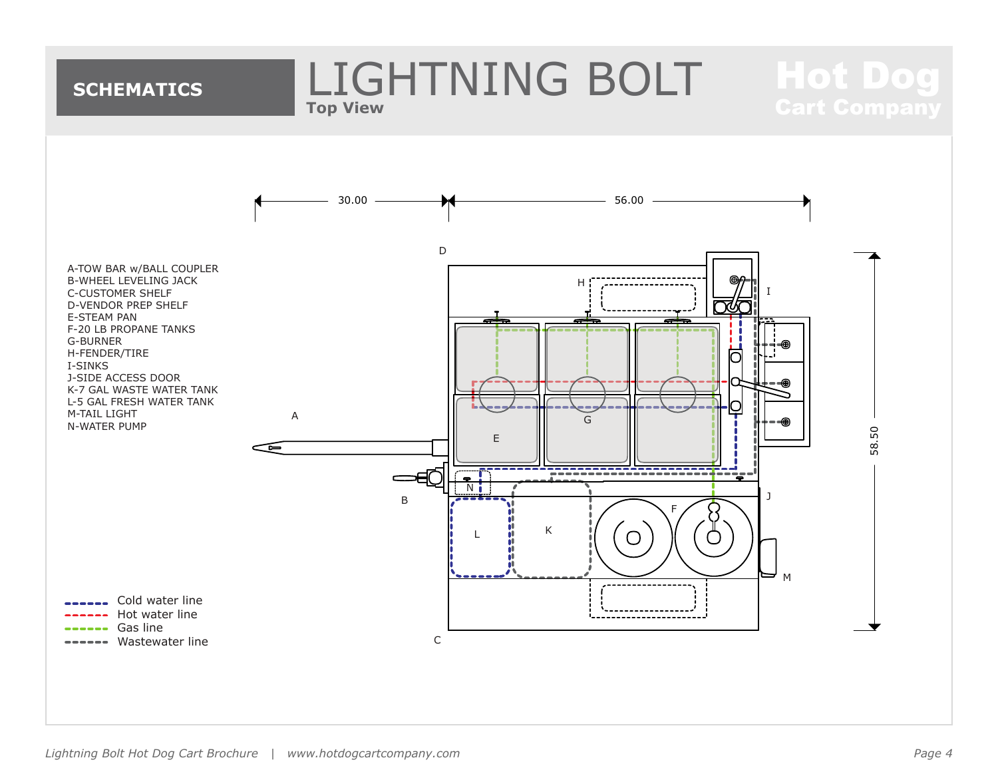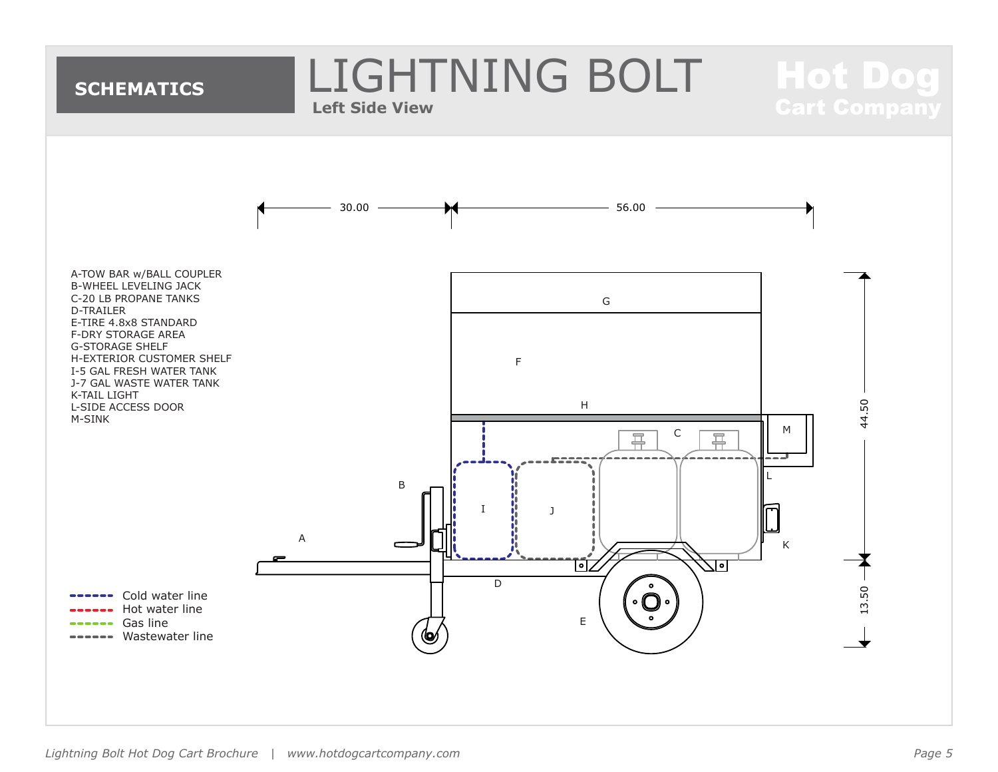